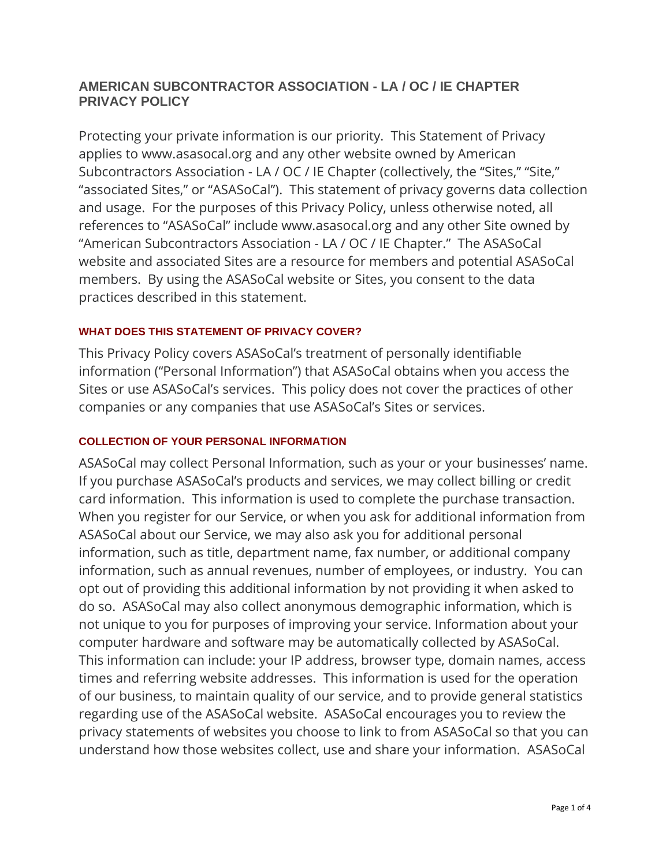# **AMERICAN SUBCONTRACTOR ASSOCIATION - LA / OC / IE CHAPTER PRIVACY POLICY**

Protecting your private information is our priority. This Statement of Privacy applies to www.asasocal.org and any other website owned by American Subcontractors Association - LA / OC / IE Chapter (collectively, the "Sites," "Site," "associated Sites," or "ASASoCal"). This statement of privacy governs data collection and usage. For the purposes of this Privacy Policy, unless otherwise noted, all references to "ASASoCal" include www.asasocal.org and any other Site owned by "American Subcontractors Association - LA / OC / IE Chapter." The ASASoCal website and associated Sites are a resource for members and potential ASASoCal members. By using the ASASoCal website or Sites, you consent to the data practices described in this statement.

# **WHAT DOES THIS STATEMENT OF PRIVACY COVER?**

This Privacy Policy covers ASASoCal's treatment of personally identifiable information ("Personal Information") that ASASoCal obtains when you access the Sites or use ASASoCal's services. This policy does not cover the practices of other companies or any companies that use ASASoCal's Sites or services.

# **COLLECTION OF YOUR PERSONAL INFORMATION**

ASASoCal may collect Personal Information, such as your or your businesses' name. If you purchase ASASoCal's products and services, we may collect billing or credit card information. This information is used to complete the purchase transaction. When you register for our Service, or when you ask for additional information from ASASoCal about our Service, we may also ask you for additional personal information, such as title, department name, fax number, or additional company information, such as annual revenues, number of employees, or industry. You can opt out of providing this additional information by not providing it when asked to do so. ASASoCal may also collect anonymous demographic information, which is not unique to you for purposes of improving your service. Information about your computer hardware and software may be automatically collected by ASASoCal. This information can include: your IP address, browser type, domain names, access times and referring website addresses. This information is used for the operation of our business, to maintain quality of our service, and to provide general statistics regarding use of the ASASoCal website. ASASoCal encourages you to review the privacy statements of websites you choose to link to from ASASoCal so that you can understand how those websites collect, use and share your information. ASASoCal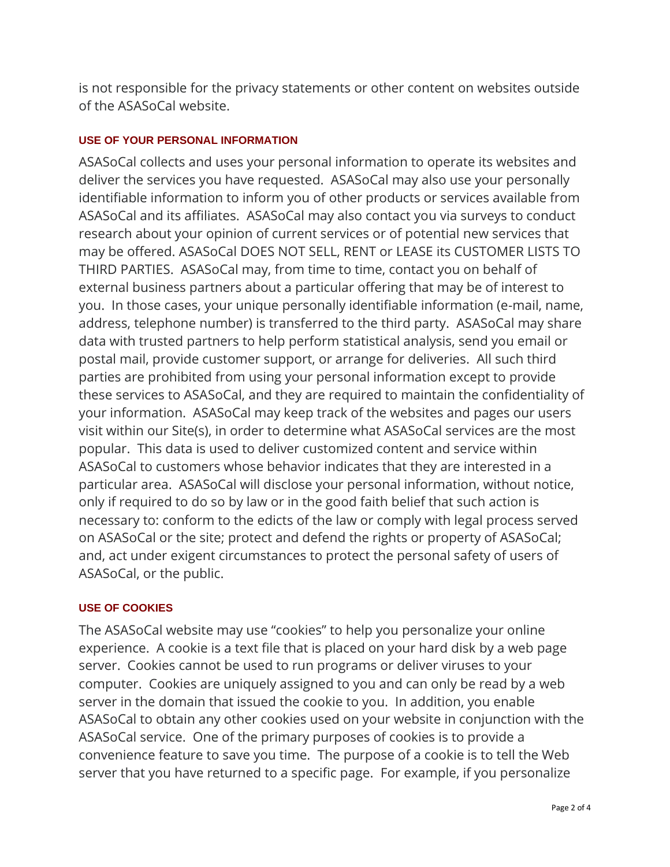is not responsible for the privacy statements or other content on websites outside of the ASASoCal website.

## **USE OF YOUR PERSONAL INFORMATION**

ASASoCal collects and uses your personal information to operate its websites and deliver the services you have requested. ASASoCal may also use your personally identifiable information to inform you of other products or services available from ASASoCal and its affiliates. ASASoCal may also contact you via surveys to conduct research about your opinion of current services or of potential new services that may be offered. ASASoCal DOES NOT SELL, RENT or LEASE its CUSTOMER LISTS TO THIRD PARTIES. ASASoCal may, from time to time, contact you on behalf of external business partners about a particular offering that may be of interest to you. In those cases, your unique personally identifiable information (e-mail, name, address, telephone number) is transferred to the third party. ASASoCal may share data with trusted partners to help perform statistical analysis, send you email or postal mail, provide customer support, or arrange for deliveries. All such third parties are prohibited from using your personal information except to provide these services to ASASoCal, and they are required to maintain the confidentiality of your information. ASASoCal may keep track of the websites and pages our users visit within our Site(s), in order to determine what ASASoCal services are the most popular. This data is used to deliver customized content and service within ASASoCal to customers whose behavior indicates that they are interested in a particular area. ASASoCal will disclose your personal information, without notice, only if required to do so by law or in the good faith belief that such action is necessary to: conform to the edicts of the law or comply with legal process served on ASASoCal or the site; protect and defend the rights or property of ASASoCal; and, act under exigent circumstances to protect the personal safety of users of ASASoCal, or the public.

## **USE OF COOKIES**

The ASASoCal website may use "cookies" to help you personalize your online experience. A cookie is a text file that is placed on your hard disk by a web page server. Cookies cannot be used to run programs or deliver viruses to your computer. Cookies are uniquely assigned to you and can only be read by a web server in the domain that issued the cookie to you. In addition, you enable ASASoCal to obtain any other cookies used on your website in conjunction with the ASASoCal service. One of the primary purposes of cookies is to provide a convenience feature to save you time. The purpose of a cookie is to tell the Web server that you have returned to a specific page. For example, if you personalize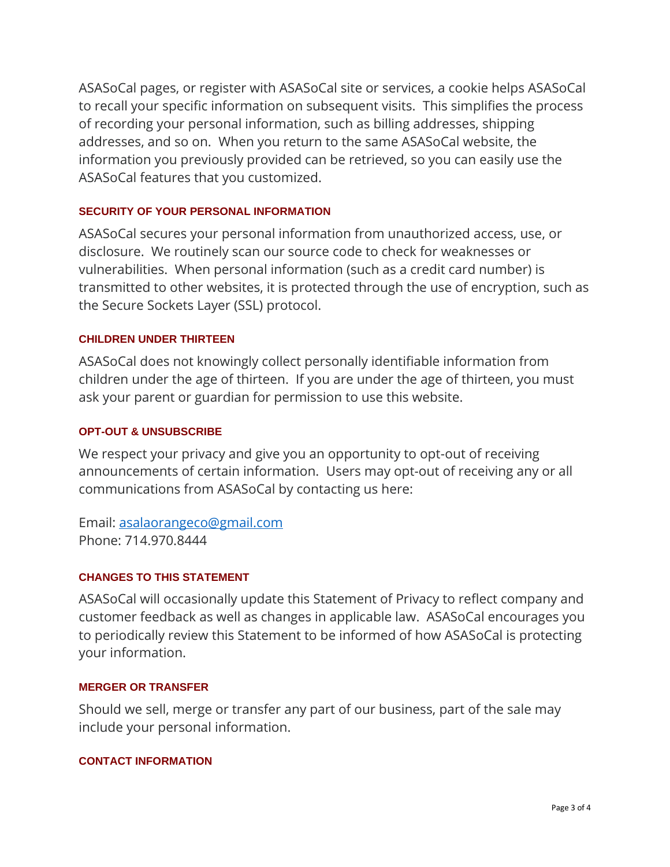ASASoCal pages, or register with ASASoCal site or services, a cookie helps ASASoCal to recall your specific information on subsequent visits. This simplifies the process of recording your personal information, such as billing addresses, shipping addresses, and so on. When you return to the same ASASoCal website, the information you previously provided can be retrieved, so you can easily use the ASASoCal features that you customized.

### **SECURITY OF YOUR PERSONAL INFORMATION**

ASASoCal secures your personal information from unauthorized access, use, or disclosure. We routinely scan our source code to check for weaknesses or vulnerabilities. When personal information (such as a credit card number) is transmitted to other websites, it is protected through the use of encryption, such as the Secure Sockets Layer (SSL) protocol.

### **CHILDREN UNDER THIRTEEN**

ASASoCal does not knowingly collect personally identifiable information from children under the age of thirteen. If you are under the age of thirteen, you must ask your parent or guardian for permission to use this website.

### **OPT-OUT & UNSUBSCRIBE**

We respect your privacy and give you an opportunity to opt-out of receiving announcements of certain information. Users may opt-out of receiving any or all communications from ASASoCal by contacting us here:

Email: [asalaorangeco@gmail.com](mailto:asalaorangeco@gmail.com) Phone: 714.970.8444

## **CHANGES TO THIS STATEMENT**

ASASoCal will occasionally update this Statement of Privacy to reflect company and customer feedback as well as changes in applicable law. ASASoCal encourages you to periodically review this Statement to be informed of how ASASoCal is protecting your information.

#### **MERGER OR TRANSFER**

Should we sell, merge or transfer any part of our business, part of the sale may include your personal information.

#### **CONTACT INFORMATION**